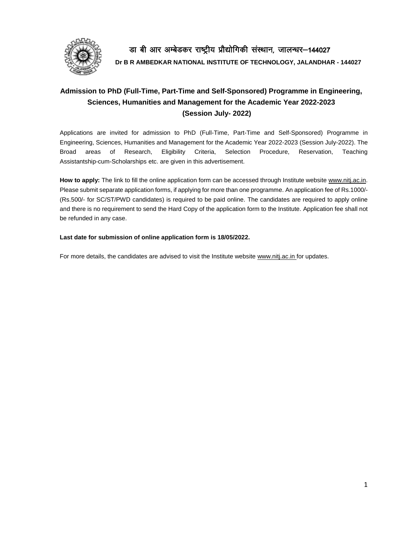

डा बी आर अम्बेडकर राष्ट्रीय प्रौद्योगिकी संस्थान, जालन्धर-144027 **Dr B R AMBEDKAR NATIONAL INSTITUTE OF TECHNOLOGY, JALANDHAR - 144027**

# **Admission to PhD (Full-Time, Part-Time and Self-Sponsored) Programme in Engineering, Sciences, Humanities and Management for the Academic Year 2022-2023 (Session July- 2022)**

Applications are invited for admission to PhD (Full-Time, Part-Time and Self-Sponsored) Programme in Engineering, Sciences, Humanities and Management for the Academic Year 2022-2023 (Session July-2022). The Broad areas of Research, Eligibility Criteria, Selection Procedure, Reservation, Teaching Assistantship-cum-Scholarships etc. are given in this advertisement.

**How to apply:** The link to fill the online application form can be accessed through Institute website [www.nitj.ac.in.](http://www.nitj.ac.in/) Please submit separate application forms, if applying for more than one programme. An application fee of Rs.1000/- (Rs.500/- for SC/ST/PWD candidates) is required to be paid online. The candidates are required to apply online and there is no requirement to send the Hard Copy of the application form to the Institute. Application fee shall not be refunded in any case.

# **Last date for submission of online application form is 18/05/2022.**

For more details, the candidates are advised to visit the Institute website [www.nitj.ac.in](http://www.nitj.ac.in/) for updates.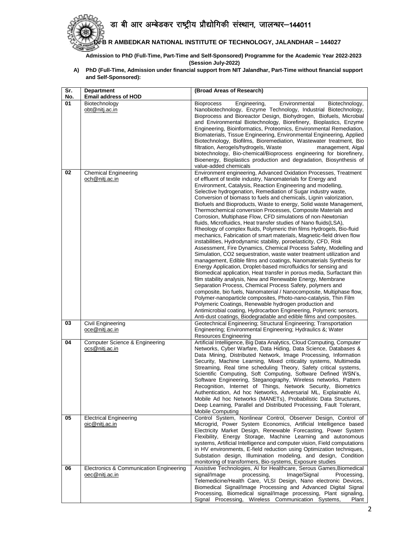डा बी आर अम्बेडकर राष्ट्रीय प्रौद्योगिकी संस्थान, जालन्धर-144011



**Dr B R AMBEDKAR NATIONAL INSTITUTE OF TECHNOLOGY, JALANDHAR – 144027**

**Admission to PhD (Full-Time, Part-Time and Self-Sponsored) Programme for the Academic Year 2022-2023 (Session July-2022)**

**A) PhD (Full-Time, Admission under financial support from NIT Jalandhar, Part-Time without financial support and Self-Sponsored):** 

| Sr. | <b>Department</b>                                         | (Broad Areas of Research)                                                                                                                                                                                                                                                                                                                                                                                                                                                                                                                                                                                                                                                                                                                                                                                                                                                                                                                                                                                                                                                                                                                                                                                                                                                                                                                                                                                                                                                                                                                                                                                       |
|-----|-----------------------------------------------------------|-----------------------------------------------------------------------------------------------------------------------------------------------------------------------------------------------------------------------------------------------------------------------------------------------------------------------------------------------------------------------------------------------------------------------------------------------------------------------------------------------------------------------------------------------------------------------------------------------------------------------------------------------------------------------------------------------------------------------------------------------------------------------------------------------------------------------------------------------------------------------------------------------------------------------------------------------------------------------------------------------------------------------------------------------------------------------------------------------------------------------------------------------------------------------------------------------------------------------------------------------------------------------------------------------------------------------------------------------------------------------------------------------------------------------------------------------------------------------------------------------------------------------------------------------------------------------------------------------------------------|
| No. | <b>Email address of HOD</b>                               |                                                                                                                                                                                                                                                                                                                                                                                                                                                                                                                                                                                                                                                                                                                                                                                                                                                                                                                                                                                                                                                                                                                                                                                                                                                                                                                                                                                                                                                                                                                                                                                                                 |
| 01  | Biotechnology<br>obt@nitj.ac.in                           | <b>Bioprocess</b><br>Engineering,<br>Environmental<br>Biotechnology,<br>Nanobiotechnology, Enzyme Technology, Industrial Biotechnology,<br>Bioprocess and Bioreactor Design, Biohydrogen, Biofuels, Microbial<br>and Environmental Biotechnology, Biorefinery, Bioplastics, Enzyme<br>Engineering, Bioinformatics, Proteomics, Environmental Remediation,<br>Biomaterials, Tissue Engineering, Environmental Engineering, Applied<br>Biotechnology, Biofilms, Bioremediation, Wastewater treatment, Bio<br>filtration, Aerogels/hydrogels, Waste<br>management, Algal<br>biotechnology, Bio-chemical/Bioprocess engineering for biorefinery,<br>Bioenergy, Bioplastics production and degradation, Biosynthesis of                                                                                                                                                                                                                                                                                                                                                                                                                                                                                                                                                                                                                                                                                                                                                                                                                                                                                              |
| 02  |                                                           | value-added chemicals                                                                                                                                                                                                                                                                                                                                                                                                                                                                                                                                                                                                                                                                                                                                                                                                                                                                                                                                                                                                                                                                                                                                                                                                                                                                                                                                                                                                                                                                                                                                                                                           |
|     | <b>Chemical Engineering</b><br>och@nitj.ac.in             | Environment engineering, Advanced Oxidation Processes, Treatment<br>of effluent of textile industry, Nanomaterials for Energy and<br>Environment, Catalysis, Reaction Engineering and modelling,<br>Selective hydrogenation, Remediation of Sugar industry waste,<br>Conversion of biomass to fuels and chemicals, Lignin valorization,<br>Biofuels and Bioproducts, Waste to energy, Solid waste Management,<br>Thermochemical conversion Processes, Composite Materials and<br>Corrosion, Multiphase Flow, CFD simulations of non-Newtonian<br>fluids, Microfluidics, Heat transfer studies of Nano fluids(LSA),<br>Rheology of complex fluids, Polymeric thin films Hydrogels, Bio-fluid<br>mechanics, Fabrication of smart materials, Magnetic-field driven flow<br>instabilities, Hydrodynamic stability, poroelasticity, CFD, Risk<br>Assessment, Fire Dynamics, Chemical Process Safety, Modelling and<br>Simulation, CO2 sequestration, waste water treatment utilization and<br>management, Edible films and coatings, Nanomaterials Synthesis for<br>Energy Application, Droplet-based microfluidics for sensing and<br>Biomedical application, Heat transfer in porous media, Surfactant thin<br>film stability analysis, New and Renewable Energy, Membrane<br>Separation Process, Chemical Process Safety, polymers and<br>composite, bio fuels, Nanomaterial / Nanocomposite, Multiphase flow,<br>Polymer-nanoparticle composites, Photo-nano-catalysis, Thin Film<br>Polymeric Coatings, Renewable hydrogen production and<br>Antimicrobial coating, Hydrocarbon Engineering, Polymeric sensors, |
| 03  | Civil Engineering<br>oce@nitj.ac.in                       | Anti-dust coatings, Biodegradable and edible films and composites.<br>Geotechnical Engineering; Structural Engineering; Transportation<br>Engineering; Environmental Engineering; Hydraulics &; Water                                                                                                                                                                                                                                                                                                                                                                                                                                                                                                                                                                                                                                                                                                                                                                                                                                                                                                                                                                                                                                                                                                                                                                                                                                                                                                                                                                                                           |
|     |                                                           | Resources Engineering                                                                                                                                                                                                                                                                                                                                                                                                                                                                                                                                                                                                                                                                                                                                                                                                                                                                                                                                                                                                                                                                                                                                                                                                                                                                                                                                                                                                                                                                                                                                                                                           |
| 04  | Computer Science & Engineering<br>ocs@nitj.ac.in          | Artificial Intelligence, Big Data Analytics, Cloud Computing, Computer<br>Networks, Cyber Warfare, Data Hiding, Data Science, Databases &<br>Data Mining, Distributed Network, Image Processing, Information<br>Security, Machine Learning, Mixed criticality systems, Multimedia<br>Streaming, Real time scheduling Theory, Safety critical systems,<br>Scientific Computing, Soft Computing, Software Defined WSN's,<br>Software Engineering, Steganography, Wireless networks, Pattern<br>Recognition, Internet of Things, Network Security, Biometrics<br>Authentication, Ad hoc Networks, Adversarial ML, Explainable AI,<br>Mobile Ad hoc Networks (MANETs), Probabilistic Data Structures,<br>Deep Learning, Parallel and Distributed Processing, Fault Tolerant,<br><b>Mobile Computing</b>                                                                                                                                                                                                                                                                                                                                                                                                                                                                                                                                                                                                                                                                                                                                                                                                             |
| 05  | <b>Electrical Engineering</b><br>oic@niti.ac.in           | Control System, Nonlinear Control, Observer Design, Control of<br>Microgrid, Power System Economics, Artificial Intelligence based<br>Electricity Market Design, Renewable Forecasting, Power System<br>Flexibility, Energy Storage, Machine Learning and autonomous<br>systems, Artificial Intelligence and computer vision, Field computations<br>in HV environments, E-field reduction using Optimization techniques,<br>Substation design, Illumination modeling, and design, Condition<br>monitoring of transformers, Bio-systems, Exposure studies                                                                                                                                                                                                                                                                                                                                                                                                                                                                                                                                                                                                                                                                                                                                                                                                                                                                                                                                                                                                                                                        |
| 06  | Electronics & Communication Engineering<br>oec@nitj.ac.in | Assistive Technologies, AI for Healthcare, Serous Games, Biomedical<br>signal/Image<br>processing,<br>Image/Signal<br>Processing,<br>Telemedicine/Health Care, VLSI Design, Nano electronic Devices,<br>Biomedical Signal/Image Processing and Advanced Digital Signal<br>Processing, Biomedical signal/Image processing, Plant signaling,<br>Signal Processing,<br>Wireless Communication Systems,<br>Plant                                                                                                                                                                                                                                                                                                                                                                                                                                                                                                                                                                                                                                                                                                                                                                                                                                                                                                                                                                                                                                                                                                                                                                                                    |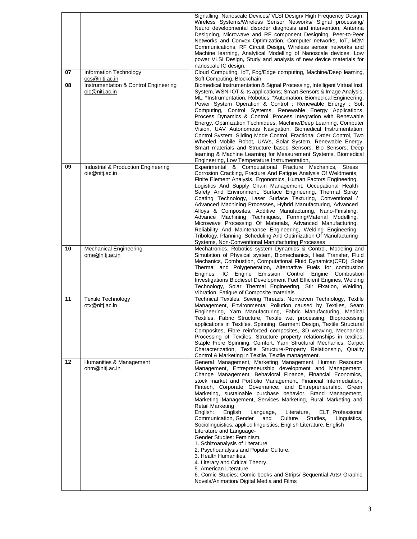|    |                                       | Signalling, Nanoscale Devices/ VLSI Design/ High Frequency Design,                                                            |
|----|---------------------------------------|-------------------------------------------------------------------------------------------------------------------------------|
|    |                                       | Wireless Systems/Wireless Sensor Networks/ Signal processing/                                                                 |
|    |                                       | Neuro developmental disorder diagnosis and intervention, Antenna                                                              |
|    |                                       | Designing, Microwave and RF component Designing, Peer-to-Peer                                                                 |
|    |                                       | Networks and Convex Optimization, Computer networks, IoT, M2M                                                                 |
|    |                                       | Communications, RF Circuit Design, Wireless sensor networks and                                                               |
|    |                                       | Machine learning, Analytical Modelling of Nanoscale devices, Low                                                              |
|    |                                       | power VLSI Design, Study and analysis of new device materials for                                                             |
|    |                                       | nanoscale IC design.                                                                                                          |
| 07 | Information Technology                | Cloud Computing, IoT, Fog/Edge computing, Machine/Deep learning,                                                              |
|    | ocs@nitj.ac.in                        | Soft Computing, Blockchain                                                                                                    |
| 08 | Instrumentation & Control Engineering | Biomedical Instrumentation & Signal Processing, Intelligent Virtual Inst.                                                     |
|    | oic@nitj.ac.in                        | System, WSN-IOT & its applications; Smart Sensors & Image Analysis;                                                           |
|    |                                       | ML, *Instrumentation, Robotics, *Automation, Biomedical Engineering,                                                          |
|    |                                       | Power System Operation & Control; Renewable Energy; Soft                                                                      |
|    |                                       | Computing, Control Systems, Renewable Energy Applications,                                                                    |
|    |                                       | Process Dynamics & Control, Process Integration with Renewable                                                                |
|    |                                       | Energy, Optimization Techniques, Machine/Deep Learning, Computer                                                              |
|    |                                       | Vision, UAV Autonomous Navigation, Biomedical Instrumentation,                                                                |
|    |                                       | Control System, Sliding Mode Control, Fractional Order Control, Two                                                           |
|    |                                       | Wheeled Mobile Robot, UAVs, Solar System, Renewable Energy,                                                                   |
|    |                                       | Smart materials and Structure based Sensors, Bio Sensors, Deep                                                                |
|    |                                       | learning & Machine Learning for Measurement Systems, Biomedical                                                               |
|    |                                       | Engineering, Low Temperature Instrumentation,                                                                                 |
| 09 | Industrial & Production Engineering   | Experimental & Computational Fracture Mechanics,<br><b>Stress</b>                                                             |
|    | oie@nitj.ac.in                        | Corrosion Cracking, Fracture And Fatigue Analysis Of Weldments,                                                               |
|    |                                       | Finite Element Analysis, Ergonomics, Human Factors Engineering,<br>Logistics And Supply Chain Management, Occupational Health |
|    |                                       | Safety And Environment, Surface Engineering, Thermal Spray                                                                    |
|    |                                       | Coating Technology, Laser Surface Texturing, Conventional /                                                                   |
|    |                                       | Advanced Machining Processes, Hybrid Manufacturing, Advanced                                                                  |
|    |                                       | Alloys & Composites, Additive Manufacturing, Nano-Finishing,                                                                  |
|    |                                       | Advance Machining Techniques, Forming/Material Modelling,                                                                     |
|    |                                       | Microwave Processing Of Materials, Advanced Manufacturing,                                                                    |
|    |                                       | Reliability And Maintenance Engineering, Welding Engineering,                                                                 |
|    |                                       | Tribology, Planning, Scheduling And Optimization Of Manufacturing                                                             |
|    |                                       | Systems, Non-Conventional Manufacturing Processes                                                                             |
| 10 | <b>Mechanical Engineering</b>         | Mechatronics, Robotics system Dynamics & Control, Modeling and                                                                |
|    | ome@nitj.ac.in                        | Simulation of Physical system, Biomechanics, Heat Transfer, Fluid                                                             |
|    |                                       | Mechanics, Combustion, Computational Fluid Dynamics(CFD), Solar                                                               |
|    |                                       | Thermal and Polygeneration, Alternative Fuels for combustion                                                                  |
|    |                                       | IC Engine Emission Control Engine Combustion<br>Engines,                                                                      |
|    |                                       | Investigations Biodiesel Development Fuel Efficient Engines, Welding                                                          |
|    |                                       | Technology, Solar Thermal Engineering, Stir Fixation, Welding,                                                                |
| 11 | <b>Textile Technology</b>             | Vibration, Fatigue of Composite materials<br>Technical Textiles, Sewing Threads, Nonwoven Technology, Textile                 |
|    | otx@nitj.ac.in                        | Management, Environmental Pollution caused by Textiles, Seam                                                                  |
|    |                                       | Engineering, Yarn Manufacturing, Fabric Manufacturing, Medical                                                                |
|    |                                       | Textiles, Fabric Structure, Textile wet processing, Bioprocessing                                                             |
|    |                                       | applications in Textiles, Spinning, Garment Design, Textile Structural                                                        |
|    |                                       | Composites, Fibre reinforced composites, 3D weaving, Mechanical                                                               |
|    |                                       | Processing of Textiles, Structure property relationships in textiles,                                                         |
|    |                                       | Staple Fibre Spinning, Comfort, Yarn Structural Mechanics, Carpet                                                             |
|    |                                       | Characterization, Textile Structure-Property Relationship, Quality                                                            |
|    |                                       | Control & Marketing in Textile, Textile management.                                                                           |
| 12 | Humanities & Management               | General Management, Marketing Management, Human Resource                                                                      |
|    | ohm@nitj.ac.in                        | Management, Entrepreneurship development and Management.                                                                      |
|    |                                       | Change Management. Behavioral Finance, Financial Economics,                                                                   |
|    |                                       | stock market and Portfolio Management, Financial Intermediation,                                                              |
|    |                                       | Fintech, Corporate Governance, and Entrepreneurship. Green                                                                    |
|    |                                       | Marketing, sustainable purchase behavior, Brand Management,<br>Marketing Management, Services Marketing, Rural Marketing and  |
|    |                                       | Retail Marketing                                                                                                              |
|    |                                       | English:<br>English<br>ELT, Professional<br>Language,<br>Literature,                                                          |
|    |                                       | Communication, Gender<br>and<br>Culture<br>Studies,<br>Linguistics,                                                           |
|    |                                       | Sociolinguistics, applied linguistics, English Literature, English                                                            |
|    |                                       | Literature and Language-                                                                                                      |
|    |                                       | Gender Studies: Feminism,                                                                                                     |
|    |                                       | 1. Schizoanalysis of Literature.                                                                                              |
|    |                                       | 2. Psychoanalysis and Popular Culture.                                                                                        |
|    |                                       | 3. Health Humanities.                                                                                                         |
|    |                                       | 4. Literary and Critical Theory.                                                                                              |
|    |                                       | 5. American Literature.                                                                                                       |
|    |                                       | 6. Comic Studies: Comic books and Strips/ Sequential Arts/ Graphic<br>Novels/Animation/ Digital Media and Films               |
|    |                                       |                                                                                                                               |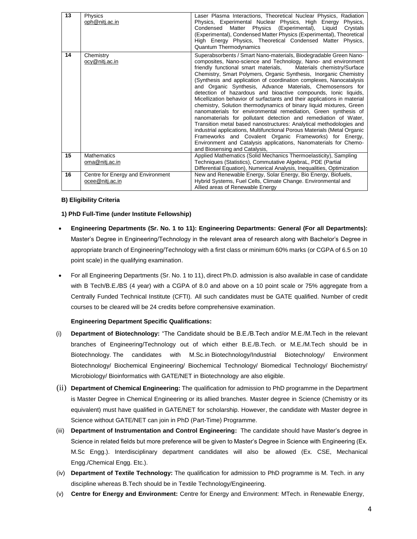| 13 | Physics<br>oph@nitj.ac.in                            | Laser Plasma Interactions, Theoretical Nuclear Physics, Radiation<br>Physics, Experimental Nuclear Physics, High Energy<br>Physics,<br>Matter Physics (Experimental),<br>Liquid<br>Condensed<br>Crystals<br>(Experimental), Condensed Matter Physics (Experimental), Theoretical<br>High Energy Physics, Theoretical Condensed Matter Physics,<br>Quantum Thermodynamics                                                                                                                                                                                                                                                                                                                                                                                                                                                                                                                                                                                                                                                                                                                        |
|----|------------------------------------------------------|-------------------------------------------------------------------------------------------------------------------------------------------------------------------------------------------------------------------------------------------------------------------------------------------------------------------------------------------------------------------------------------------------------------------------------------------------------------------------------------------------------------------------------------------------------------------------------------------------------------------------------------------------------------------------------------------------------------------------------------------------------------------------------------------------------------------------------------------------------------------------------------------------------------------------------------------------------------------------------------------------------------------------------------------------------------------------------------------------|
| 14 | Chemistry<br><u>ocy@nitj.ac.in</u>                   | Superabsorbents / Smart Nano-materials, Biodegradable Green Nano-<br>composites, Nano-science and Technology, Nano- and environment<br>friendly functional smart materials, Materials chemistry/Surface<br>Chemistry, Smart Polymers, Organic Synthesis, Inorganic Chemistry<br>(Synthesis and application of coordination complexes, Nanocatalysis<br>and Organic Synthesis, Advance Materials, Chemosensors for<br>detection of hazardous and bioactive compounds, lonic liquids,<br>Micellization behavior of surfactants and their applications in material<br>chemistry, Solution thermodynamics of binary liquid mixtures, Green<br>nanomaterials for environmental remediation, Green synthesis of<br>nanomaterials for pollutant detection and remediation of Water,<br>Transition metal based nanostructures: Analytical methodologies and<br>industrial applications, Multifunctional Porous Materials (Metal Organic<br>Frameworks and Covalent Organic Frameworks) for Energy,<br>Environment and Catalysis applications, Nanomaterials for Chemo-<br>and Biosensing and Catalysis, |
| 15 | <b>Mathematics</b><br>oma@nitj.ac.in                 | Applied Mathematics (Solid Mechanics Thermoelasticity), Sampling<br>Techniques (Statistics), Commutative AlgebraL, PDE (Partial<br>Differential Equation), Numerical Analysis, Inequalities, Optimization                                                                                                                                                                                                                                                                                                                                                                                                                                                                                                                                                                                                                                                                                                                                                                                                                                                                                       |
| 16 | Centre for Energy and Environment<br>ocee@nitj.ac.in | New and Renewable Energy, Solar Energy, Bio Energy, Biofuels,<br>Hybrid Systems, Fuel Cells, Climate Change. Environmental and<br>Allied areas of Renewable Energy                                                                                                                                                                                                                                                                                                                                                                                                                                                                                                                                                                                                                                                                                                                                                                                                                                                                                                                              |

## **B) Eligibility Criteria**

## **1) PhD Full-Time (under Institute Fellowship)**

- **Engineering Departments (Sr. No. 1 to 11): Engineering Departments: General (For all Departments):**  Master's Degree in Engineering/Technology in the relevant area of research along with Bachelor's Degree in appropriate branch of Engineering/Technology with a first class or minimum 60% marks (or CGPA of 6.5 on 10 point scale) in the qualifying examination.
- For all Engineering Departments (Sr. No. 1 to 11), direct Ph.D. admission is also available in case of candidate with B Tech/B.E./BS (4 year) with a CGPA of 8.0 and above on a 10 point scale or 75% aggregate from a Centrally Funded Technical Institute (CFTI). All such candidates must be GATE qualified. Number of credit courses to be cleared will be 24 credits before comprehensive examination.

#### **Engineering Department Specific Qualifications:**

- (i) **Department of Biotechnology:** "The Candidate should be B.E./B.Tech and/or M.E./M.Tech in the relevant branches of Engineering/Technology out of which either B.E./B.Tech. or M.E./M.Tech should be in Biotechnology. The candidates with [M.Sc.in](http://m.sc.in/) Biotechnology/Industrial Biotechnology/ Environment Biotechnology/ Biochemical Engineering/ Biochemical Technology/ Biomedical Technology/ Biochemistry/ Microbiology/ Bioinformatics with GATE/NET in Biotechnology are also eligible.
- (ii) **Department of Chemical Engineering:** The qualification for admission to PhD programme in the Department is Master Degree in Chemical Engineering or its allied branches. Master degree in Science (Chemistry or its equivalent) must have qualified in GATE/NET for scholarship. However, the candidate with Master degree in Science without GATE/NET can join in PhD (Part-Time) Programme.
- (iii) **Department of Instrumentation and Control Engineering:** The candidate should have Master's degree in Science in related fields but more preference will be given to Master's Degree in Science with Engineering (Ex. M.Sc Engg.). Interdisciplinary department candidates will also be allowed (Ex. CSE, Mechanical Engg./Chemical Engg. Etc.).
- (iv) **Department of Textile Technology:** The qualification for admission to PhD programme is M. Tech. in any discipline whereas B.Tech should be in Textile Technology/Engineering.
- (v) **Centre for Energy and Environment:** Centre for Energy and Environment: MTech. in Renewable Energy,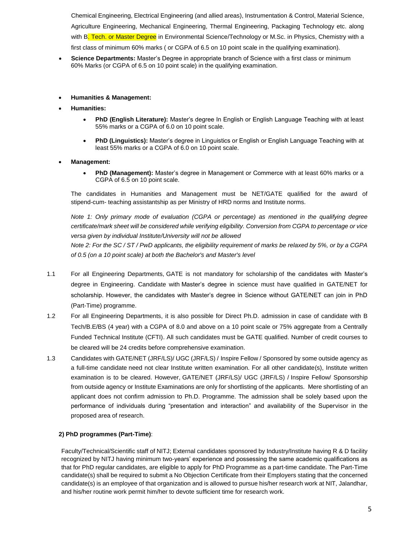Chemical Engineering, Electrical Engineering (and allied areas), Instrumentation & Control, Material Science, Agriculture Engineering, Mechanical Engineering, Thermal Engineering, Packaging Technology etc. along with B. Tech. or Master Degree in Environmental Science/Technology or M.Sc. in Physics, Chemistry with a first class of minimum 60% marks ( or CGPA of 6.5 on 10 point scale in the qualifying examination).

- **Science Departments:** Master's Degree in appropriate branch of Science with a first class or minimum 60% Marks (or CGPA of 6.5 on 10 point scale) in the qualifying examination.
- **Humanities & Management:**
- **Humanities:**
	- **PhD (English Literature):** Master's degree In English or English Language Teaching with at least 55% marks or a CGPA of 6.0 on 10 point scale.
	- **PhD (Linguistics):** Master's degree in Linguistics or English or English Language Teaching with at least 55% marks or a CGPA of 6.0 on 10 point scale.
- **Management:**
	- **PhD (Management):** Master's degree in Management or Commerce with at least 60% marks or a CGPA of 6.5 on 10 point scale.

The candidates in Humanities and Management must be NET/GATE qualified for the award of stipend-cum- teaching assistantship as per Ministry of HRD norms and Institute norms.

*Note 1: Only primary mode of evaluation (CGPA or percentage) as mentioned in the qualifying degree certificate/mark sheet will be considered while verifying eligibility. Conversion from CGPA to percentage or vice versa given by individual Institute/University will not be allowed*

*Note 2: For the SC / ST / PwD applicants, the eligibility requirement of marks be relaxed by 5%, or by a CGPA of 0.5 (on a 10 point scale) at both the Bachelor's and Master's level*

- 1.1 For all Engineering Departments, GATE is not mandatory for scholarship of the candidates with Master's degree in Engineering. Candidate with Master's degree in science must have qualified in GATE/NET for scholarship. However, the candidates with Master's degree in Science without GATE/NET can join in PhD (Part-Time) programme.
- 1.2 For all Engineering Departments, it is also possible for Direct Ph.D. admission in case of candidate with B Tech/B.E/BS (4 year) with a CGPA of 8.0 and above on a 10 point scale or 75% aggregate from a Centrally Funded Technical Institute (CFTI). All such candidates must be GATE qualified. Number of credit courses to be cleared will be 24 credits before comprehensive examination.
- 1.3 Candidates with GATE/NET (JRF/LS)/ UGC (JRF/LS) / Inspire Fellow / Sponsored by some outside agency as a full-time candidate need not clear Institute written examination. For all other candidate(s), Institute written examination is to be cleared. However, GATE/NET (JRF/LS)/ UGC (JRF/LS) / Inspire Fellow/ Sponsorship from outside agency or Institute Examinations are only for shortlisting of the applicants. Mere shortlisting of an applicant does not confirm admission to Ph.D. Programme. The admission shall be solely based upon the performance of individuals during "presentation and interaction" and availability of the Supervisor in the proposed area of research.

# **2) PhD programmes (Part-Time)**:

Faculty/Technical/Scientific staff of NITJ; External candidates sponsored by Industry/Institute having R & D facility recognized by NITJ having minimum two-years' experience and possessing the same academic qualifications as that for PhD regular candidates, are eligible to apply for PhD Programme as a part-time candidate. The Part-Time candidate(s) shall be required to submit a No Objection Certificate from their Employers stating that the concerned candidate(s) is an employee of that organization and is allowed to pursue his/her research work at NIT, Jalandhar, and his/her routine work permit him/her to devote sufficient time for research work.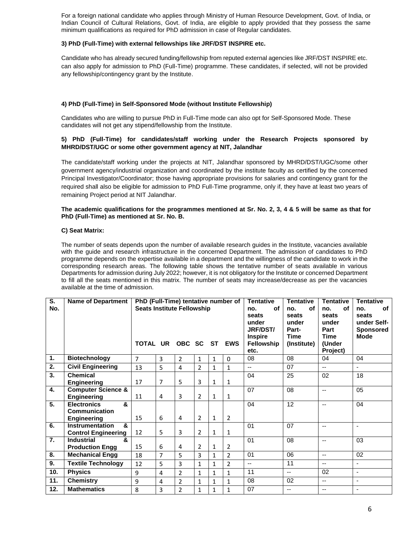For a foreign national candidate who applies through Ministry of Human Resource Development, Govt. of India, or Indian Council of Cultural Relations, Govt. of India, are eligible to apply provided that they possess the same minimum qualifications as required for PhD admission in case of Regular candidates.

#### **3) PhD (Full-Time) with external fellowships like JRF/DST INSPIRE etc.**

Candidate who has already secured funding/fellowship from reputed external agencies like JRF/DST INSPIRE etc. can also apply for admission to PhD (Full-Time) programme. These candidates, if selected, will not be provided any fellowship/contingency grant by the Institute.

# **4) PhD (Full-Time) in Self-Sponsored Mode (without Institute Fellowship)**

Candidates who are willing to pursue PhD in Full-Time mode can also opt for Self-Sponsored Mode. These candidates will not get any stipend/fellowship from the Institute.

# **5) PhD (Full-Time) for candidates/staff working under the Research Projects sponsored by MHRD/DST/UGC or some other government agency at NIT, Jalandhar**

The candidate/staff working under the projects at NIT, Jalandhar sponsored by MHRD/DST/UGC/some other government agency/industrial organization and coordinated by the institute faculty as certified by the concerned Principal Investigator/Coordinator; those having appropriate provisions for salaries and contingency grant for the required shall also be eligible for admission to PhD Full-Time programme, only if, they have at least two years of remaining Project period at NIT Jalandhar.

#### **The academic qualifications for the programmes mentioned at Sr. No. 2, 3, 4 & 5 will be same as that for PhD (Full-Time) as mentioned at Sr. No. B.**

## **C) Seat Matrix:**

The number of seats depends upon the number of available research guides in the Institute, vacancies available with the guide and research infrastructure in the concerned Department. The admission of candidates to PhD programme depends on the expertise available in a department and the willingness of the candidate to work in the corresponding research areas. The following table shows the tentative number of seats available in various Departments for admission during July 2022; however, it is not obligatory for the Institute or concerned Department to fill all the seats mentioned in this matrix. The number of seats may increase/decrease as per the vacancies available at the time of admission.

| S.<br>No. | <b>Name of Department</b>                                    | PhD (Full-Time) tentative number of<br><b>Seats Institute Fellowship</b><br>TOTAL UR OBC SC ST<br><b>EWS</b> |                |                |                |              |                | <b>Tentative</b><br><b>of</b><br>no.<br>seats<br>under<br><b>JRF/DST/</b><br><b>Inspire</b><br><b>Fellowship</b><br>etc. | <b>Tentative</b><br>οf<br>no.<br>seats<br>under<br>Part-<br><b>Time</b><br>(Institute) | <b>Tentative</b><br>of<br>no.<br>seats<br>under<br>Part<br><b>Time</b><br>(Under<br>Project) | <b>Tentative</b><br>of<br>no.<br>seats<br>under Self-<br><b>Sponsored</b><br><b>Mode</b> |
|-----------|--------------------------------------------------------------|--------------------------------------------------------------------------------------------------------------|----------------|----------------|----------------|--------------|----------------|--------------------------------------------------------------------------------------------------------------------------|----------------------------------------------------------------------------------------|----------------------------------------------------------------------------------------------|------------------------------------------------------------------------------------------|
| 1.        | <b>Biotechnology</b>                                         | $\overline{7}$                                                                                               | 3              | $\overline{2}$ | $\mathbf{1}$   | $\mathbf{1}$ | $\Omega$       | 08                                                                                                                       | 08                                                                                     | 04                                                                                           | 04                                                                                       |
| 2.        | <b>Civil Engineering</b>                                     | 13                                                                                                           | 5              | $\overline{4}$ | $\overline{2}$ | $\mathbf{1}$ | $\mathbf{1}$   | $\overline{a}$                                                                                                           | 07                                                                                     | $- -$                                                                                        | ÷.                                                                                       |
| 3.        | <b>Chemical</b><br><b>Engineering</b>                        | 17                                                                                                           | $\overline{7}$ | 5              | 3              | $\mathbf{1}$ | 1              | 04                                                                                                                       | 25                                                                                     | 02                                                                                           | 18                                                                                       |
| 4.        | <b>Computer Science &amp;</b><br><b>Engineering</b>          | 11                                                                                                           | 4              | 3              | 2              | $\mathbf{1}$ | $\mathbf{1}$   | 07                                                                                                                       | 08                                                                                     | $-$                                                                                          | 05                                                                                       |
| 5.        | $\boldsymbol{\kappa}$<br><b>Electronics</b><br>Communication |                                                                                                              |                |                |                |              |                | 04                                                                                                                       | 12                                                                                     | $\overline{\phantom{a}}$                                                                     | 04                                                                                       |
|           | <b>Engineering</b>                                           | 15                                                                                                           | 6              | 4              | 2              | $\mathbf{1}$ | 2              |                                                                                                                          |                                                                                        |                                                                                              |                                                                                          |
| 6.        | <b>Instrumentation</b><br>&<br><b>Control Engineering</b>    | 12                                                                                                           | 5              | 3              | $\overline{2}$ | $\mathbf{1}$ | $\mathbf{1}$   | 01                                                                                                                       | 07                                                                                     | $-$                                                                                          | $\blacksquare$                                                                           |
| 7.        | <b>Industrial</b><br>&<br><b>Production Engg</b>             | 15                                                                                                           | 6              | 4              | 2              | $\mathbf{1}$ | $\overline{2}$ | 01                                                                                                                       | 08                                                                                     | $-$                                                                                          | 03                                                                                       |
| 8.        | <b>Mechanical Engg</b>                                       | 18                                                                                                           | $\overline{7}$ | 5              | 3              | $\mathbf{1}$ | $\overline{2}$ | 01                                                                                                                       | 06                                                                                     | $-$                                                                                          | 02                                                                                       |
| 9.        | <b>Textile Technology</b>                                    | 12                                                                                                           | 5              | 3              | $\mathbf{1}$   | $\mathbf{1}$ | $\overline{2}$ | $- -$                                                                                                                    | 11                                                                                     | $- -$                                                                                        | ٠                                                                                        |
| 10.       | <b>Physics</b>                                               | 9                                                                                                            | 4              | $\mathcal{P}$  | $\mathbf{1}$   | $\mathbf{1}$ | 1              | 11                                                                                                                       | $\overline{a}$                                                                         | 02                                                                                           | ä,                                                                                       |
| 11.       | <b>Chemistry</b>                                             | 9                                                                                                            | 4              | $\overline{2}$ | 1              | $\mathbf{1}$ | $\mathbf{1}$   | 08                                                                                                                       | 02                                                                                     | $-$                                                                                          | ä,                                                                                       |
| 12.       | <b>Mathematics</b>                                           | 8                                                                                                            | 3              | $\overline{2}$ | 1              | $\mathbf{1}$ | $\mathbf{1}$   | 07                                                                                                                       | --                                                                                     | $-$                                                                                          | $\blacksquare$                                                                           |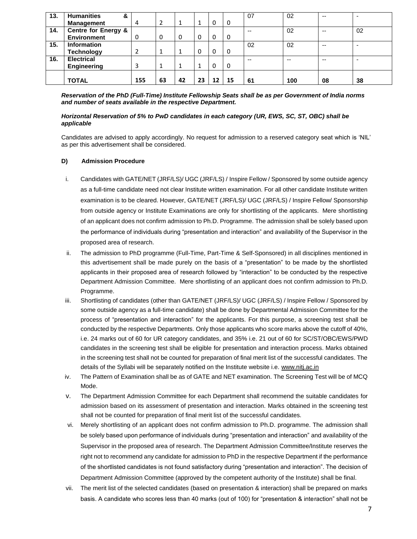| 13. | <b>Humanities</b><br>&         |     |    |    |    |    |          | 07  | 02  | $- -$                    | $\overline{\phantom{0}}$ |
|-----|--------------------------------|-----|----|----|----|----|----------|-----|-----|--------------------------|--------------------------|
|     | <b>Management</b>              | 4   |    |    |    | 0  | 0        |     |     |                          |                          |
| 14. | <b>Centre for Energy &amp;</b> |     |    |    |    |    |          | $-$ | 02  | $\overline{\phantom{a}}$ | 02                       |
|     | <b>Environment</b>             | 0   | 0  | 0  | 0  | 0  | 0        |     |     |                          |                          |
| 15. | <b>Information</b>             |     |    |    |    |    |          | 02  | 02  | $\overline{\phantom{a}}$ | $\overline{\phantom{0}}$ |
|     | <b>Technology</b>              |     |    |    | 0  | 0  | $\Omega$ |     |     |                          |                          |
| 16. | <b>Electrical</b>              |     |    |    |    |    |          | --  | --  | $- -$                    | $\overline{\phantom{0}}$ |
|     | <b>Engineering</b>             |     |    |    |    | 0  | $\Omega$ |     |     |                          |                          |
|     |                                |     |    |    |    |    |          |     |     |                          |                          |
|     | <b>TOTAL</b>                   | 155 | 63 | 42 | 23 | 12 | 15       | 61  | 100 | 08                       | 38                       |

*Reservation of the PhD (Full-Time) Institute Fellowship Seats shall be as per Government of India norms and number of seats available in the respective Department.*

## *Horizontal Reservation of 5% to PwD candidates in each category (UR, EWS, SC, ST, OBC) shall be applicable*

Candidates are advised to apply accordingly. No request for admission to a reserved category seat which is 'NIL' as per this advertisement shall be considered.

# **D) Admission Procedure**

- i. Candidates with GATE/NET (JRF/LS)/ UGC (JRF/LS) / Inspire Fellow / Sponsored by some outside agency as a full-time candidate need not clear Institute written examination. For all other candidate Institute written examination is to be cleared. However, GATE/NET (JRF/LS)/ UGC (JRF/LS) / Inspire Fellow/ Sponsorship from outside agency or Institute Examinations are only for shortlisting of the applicants. Mere shortlisting of an applicant does not confirm admission to Ph.D. Programme. The admission shall be solely based upon the performance of individuals during "presentation and interaction" and availability of the Supervisor in the proposed area of research.
- ii. The admission to PhD programme (Full-Time, Part-Time & Self-Sponsored) in all disciplines mentioned in this advertisement shall be made purely on the basis of a "presentation" to be made by the shortlisted applicants in their proposed area of research followed by "interaction" to be conducted by the respective Department Admission Committee. Mere shortlisting of an applicant does not confirm admission to Ph.D. Programme.
- iii. Shortlisting of candidates (other than GATE/NET (JRF/LS)/ UGC (JRF/LS) / Inspire Fellow / Sponsored by some outside agency as a full-time candidate) shall be done by Departmental Admission Committee for the process of "presentation and interaction" for the applicants. For this purpose, a screening test shall be conducted by the respective Departments. Only those applicants who score marks above the cutoff of 40%, i.e. 24 marks out of 60 for UR category candidates, and 35% i.e. 21 out of 60 for SC/ST/OBC/EWS/PWD candidates in the screening test shall be eligible for presentation and interaction process. Marks obtained in the screening test shall not be counted for preparation of final merit list of the successful candidates. The details of the Syllabi will be separately notified on the Institute website i.e. [www.nitj.ac.in](http://www.nitj.ac.in/)
- iv. The Pattern of Examination shall be as of GATE and NET examination. The Screening Test will be of MCQ Mode.
- v. The Department Admission Committee for each Department shall recommend the suitable candidates for admission based on its assessment of presentation and interaction. Marks obtained in the screening test shall not be counted for preparation of final merit list of the successful candidates.
- vi. Merely shortlisting of an applicant does not confirm admission to Ph.D. programme. The admission shall be solely based upon performance of individuals during "presentation and interaction" and availability of the Supervisor in the proposed area of research. The Department Admission Committee/Institute reserves the right not to recommend any candidate for admission to PhD in the respective Department if the performance of the shortlisted candidates is not found satisfactory during "presentation and interaction". The decision of Department Admission Committee (approved by the competent authority of the Institute) shall be final.
- vii. The merit list of the selected candidates (based on presentation & interaction) shall be prepared on marks basis. A candidate who scores less than 40 marks (out of 100) for "presentation & interaction" shall not be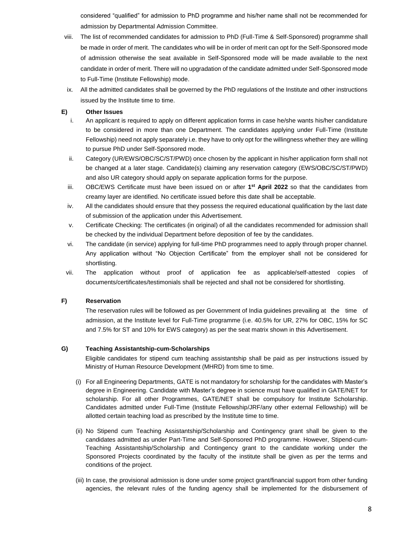considered "qualified" for admission to PhD programme and his/her name shall not be recommended for admission by Departmental Admission Committee.

- viii. The list of recommended candidates for admission to PhD (Full-Time & Self-Sponsored) programme shall be made in order of merit. The candidates who will be in order of merit can opt for the Self-Sponsored mode of admission otherwise the seat available in Self-Sponsored mode will be made available to the next candidate in order of merit. There will no upgradation of the candidate admitted under Self-Sponsored mode to Full-Time (Institute Fellowship) mode.
- ix. All the admitted candidates shall be governed by the PhD regulations of the Institute and other instructions issued by the Institute time to time.

# **E) Other Issues**

- i. An applicant is required to apply on different application forms in case he/she wants his/her candidature to be considered in more than one Department. The candidates applying under Full-Time (Institute Fellowship) need not apply separately i.e. they have to only opt for the willingness whether they are willing to pursue PhD under Self-Sponsored mode.
- ii. Category (UR/EWS/OBC/SC/ST/PWD) once chosen by the applicant in his/her application form shall not be changed at a later stage. Candidate(s) claiming any reservation category (EWS/OBC/SC/ST/PWD) and also UR category should apply on separate application forms for the purpose.
- iii. OBC/EWS Certificate must have been issued on or after 1<sup>st</sup> April 2022 so that the candidates from creamy layer are identified. No certificate issued before this date shall be acceptable.
- iv. All the candidates should ensure that they possess the required educational qualification by the last date of submission of the application under this Advertisement.
- v. Certificate Checking: The certificates (in original) of all the candidates recommended for admission shall be checked by the individual Department before deposition of fee by the candidates.
- vi. The candidate (in service) applying for full-time PhD programmes need to apply through proper channel. Any application without "No Objection Certificate" from the employer shall not be considered for shortlisting.
- vii. The application without proof of application fee as applicable/self-attested copies of documents/certificates/testimonials shall be rejected and shall not be considered for shortlisting.

# **F) Reservation**

The reservation rules will be followed as per Government of India guidelines prevailing at the time of admission, at the Institute level for Full-Time programme (i.e. 40.5% for UR, 27% for OBC, 15% for SC and 7.5% for ST and 10% for EWS category) as per the seat matrix shown in this Advertisement.

# **G) Teaching Assistantship-cum-Scholarships**

Eligible candidates for stipend cum teaching assistantship shall be paid as per instructions issued by Ministry of Human Resource Development (MHRD) from time to time.

- (i) For all Engineering Departments, GATE is not mandatory for scholarship for the candidates with Master's degree in Engineering. Candidate with Master's degree in science must have qualified in GATE/NET for scholarship. For all other Programmes, GATE/NET shall be compulsory for Institute Scholarship. Candidates admitted under Full-Time (Institute Fellowship/JRF/any other external Fellowship) will be allotted certain teaching load as prescribed by the Institute time to time.
- (ii) No Stipend cum Teaching Assistantship/Scholarship and Contingency grant shall be given to the candidates admitted as under Part-Time and Self-Sponsored PhD programme. However, Stipend-cum-Teaching Assistantship/Scholarship and Contingency grant to the candidate working under the Sponsored Projects coordinated by the faculty of the institute shall be given as per the terms and conditions of the project.
- (iii) In case, the provisional admission is done under some project grant/financial support from other funding agencies, the relevant rules of the funding agency shall be implemented for the disbursement of